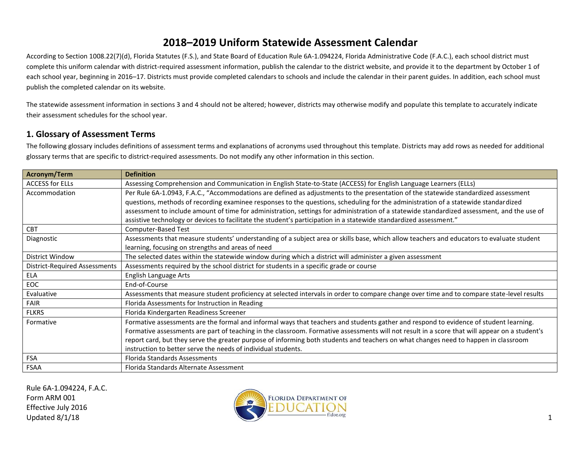According to Section 1008.22(7)(d), Florida Statutes (F.S.), and State Board of Education Rule 6A-1.094224, Florida Administrative Code (F.A.C.), each school district must complete this uniform calendar with district-required assessment information, publish the calendar to the district website, and provide it to the department by October 1 of each school year, beginning in 2016–17. Districts must provide completed calendars to schools and include the calendar in their parent guides. In addition, each school must publish the completed calendar on its website.

The statewide assessment information in sections 3 and 4 should not be altered; however, districts may otherwise modify and populate this template to accurately indicate their assessment schedules for the school year.

#### **1. Glossary of Assessment Terms**

The following glossary includes definitions of assessment terms and explanations of acronyms used throughout this template. Districts may add rows as needed for additional glossary terms that are specific to district-required assessments. Do not modify any other information in this section.

| Acronym/Term                         | <b>Definition</b>                                                                                                                             |  |  |  |  |
|--------------------------------------|-----------------------------------------------------------------------------------------------------------------------------------------------|--|--|--|--|
| <b>ACCESS for ELLs</b>               | Assessing Comprehension and Communication in English State-to-State (ACCESS) for English Language Learners (ELLs)                             |  |  |  |  |
| Accommodation                        | Per Rule 6A-1.0943, F.A.C., "Accommodations are defined as adjustments to the presentation of the statewide standardized assessment           |  |  |  |  |
|                                      | questions, methods of recording examinee responses to the questions, scheduling for the administration of a statewide standardized            |  |  |  |  |
|                                      | assessment to include amount of time for administration, settings for administration of a statewide standardized assessment, and the use of   |  |  |  |  |
|                                      | assistive technology or devices to facilitate the student's participation in a statewide standardized assessment."                            |  |  |  |  |
| <b>CBT</b>                           | Computer-Based Test                                                                                                                           |  |  |  |  |
| Diagnostic                           | Assessments that measure students' understanding of a subject area or skills base, which allow teachers and educators to evaluate student     |  |  |  |  |
|                                      | learning, focusing on strengths and areas of need                                                                                             |  |  |  |  |
| District Window                      | The selected dates within the statewide window during which a district will administer a given assessment                                     |  |  |  |  |
| <b>District-Required Assessments</b> | Assessments required by the school district for students in a specific grade or course                                                        |  |  |  |  |
| <b>ELA</b>                           | <b>English Language Arts</b>                                                                                                                  |  |  |  |  |
| EOC                                  | End-of-Course                                                                                                                                 |  |  |  |  |
| Evaluative                           | Assessments that measure student proficiency at selected intervals in order to compare change over time and to compare state-level results    |  |  |  |  |
| FAIR                                 | Florida Assessments for Instruction in Reading                                                                                                |  |  |  |  |
| <b>FLKRS</b>                         | Florida Kindergarten Readiness Screener                                                                                                       |  |  |  |  |
| Formative                            | Formative assessments are the formal and informal ways that teachers and students gather and respond to evidence of student learning.         |  |  |  |  |
|                                      | Formative assessments are part of teaching in the classroom. Formative assessments will not result in a score that will appear on a student's |  |  |  |  |
|                                      | report card, but they serve the greater purpose of informing both students and teachers on what changes need to happen in classroom           |  |  |  |  |
|                                      | instruction to better serve the needs of individual students.                                                                                 |  |  |  |  |
| <b>FSA</b>                           | <b>Florida Standards Assessments</b>                                                                                                          |  |  |  |  |
| FSAA                                 | Florida Standards Alternate Assessment                                                                                                        |  |  |  |  |

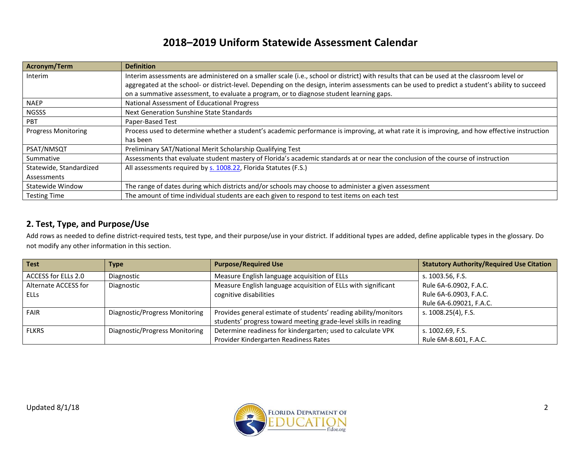| Acronym/Term               | <b>Definition</b>                                                                                                                               |
|----------------------------|-------------------------------------------------------------------------------------------------------------------------------------------------|
| Interim                    | Interim assessments are administered on a smaller scale (i.e., school or district) with results that can be used at the classroom level or      |
|                            | aggregated at the school- or district-level. Depending on the design, interim assessments can be used to predict a student's ability to succeed |
|                            | on a summative assessment, to evaluate a program, or to diagnose student learning gaps.                                                         |
| <b>NAEP</b>                | National Assessment of Educational Progress                                                                                                     |
| <b>NGSSS</b>               | Next Generation Sunshine State Standards                                                                                                        |
| PBT                        | Paper-Based Test                                                                                                                                |
| <b>Progress Monitoring</b> | Process used to determine whether a student's academic performance is improving, at what rate it is improving, and how effective instruction    |
|                            | has been                                                                                                                                        |
| PSAT/NMSQT                 | Preliminary SAT/National Merit Scholarship Qualifying Test                                                                                      |
| Summative                  | Assessments that evaluate student mastery of Florida's academic standards at or near the conclusion of the course of instruction                |
| Statewide, Standardized    | All assessments required by s. 1008.22, Florida Statutes (F.S.)                                                                                 |
| Assessments                |                                                                                                                                                 |
| Statewide Window           | The range of dates during which districts and/or schools may choose to administer a given assessment                                            |
| <b>Testing Time</b>        | The amount of time individual students are each given to respond to test items on each test                                                     |

#### **2. Test, Type, and Purpose/Use**

Add rows as needed to define district-required tests, test type, and their purpose/use in your district. If additional types are added, define applicable types in the glossary. Do not modify any other information in this section.

| Test                 | <b>Type</b>                    | <b>Purpose/Required Use</b>                                     | <b>Statutory Authority/Required Use Citation</b> |
|----------------------|--------------------------------|-----------------------------------------------------------------|--------------------------------------------------|
| ACCESS for ELLs 2.0  | Diagnostic                     | Measure English language acquisition of ELLs                    | s. 1003.56, F.S.                                 |
| Alternate ACCESS for | Diagnostic                     | Measure English language acquisition of ELLs with significant   | Rule 6A-6.0902, F.A.C.                           |
| <b>ELLS</b>          |                                | cognitive disabilities                                          | Rule 6A-6.0903, F.A.C.                           |
|                      |                                |                                                                 | Rule 6A-6.09021, F.A.C.                          |
| <b>FAIR</b>          | Diagnostic/Progress Monitoring | Provides general estimate of students' reading ability/monitors | s. 1008.25(4), F.S.                              |
|                      |                                | students' progress toward meeting grade-level skills in reading |                                                  |
| <b>FLKRS</b>         | Diagnostic/Progress Monitoring | Determine readiness for kindergarten; used to calculate VPK     | s. 1002.69, F.S.                                 |
|                      |                                | Provider Kindergarten Readiness Rates                           | Rule 6M-8.601, F.A.C.                            |

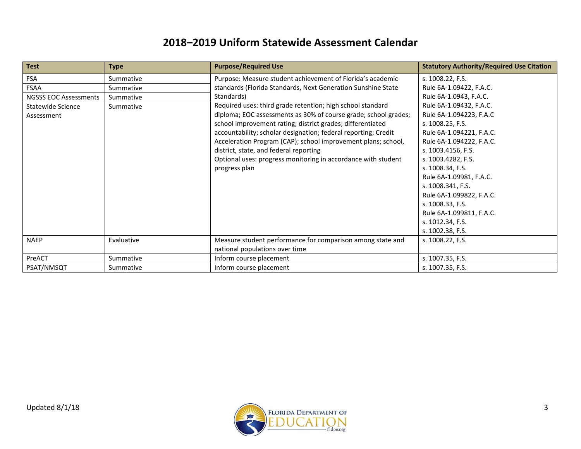| <b>Test</b>                  | <b>Type</b> | <b>Purpose/Required Use</b>                                     | <b>Statutory Authority/Required Use Citation</b> |
|------------------------------|-------------|-----------------------------------------------------------------|--------------------------------------------------|
| <b>FSA</b>                   | Summative   | Purpose: Measure student achievement of Florida's academic      | s. 1008.22, F.S.                                 |
| <b>FSAA</b>                  | Summative   | standards (Florida Standards, Next Generation Sunshine State    | Rule 6A-1.09422, F.A.C.                          |
| <b>NGSSS EOC Assessments</b> | Summative   | Standards)                                                      | Rule 6A-1.0943, F.A.C.                           |
| Statewide Science            | Summative   | Required uses: third grade retention; high school standard      | Rule 6A-1.09432, F.A.C.                          |
| Assessment                   |             | diploma; EOC assessments as 30% of course grade; school grades; | Rule 6A-1.094223, F.A.C                          |
|                              |             | school improvement rating; district grades; differentiated      | s. 1008.25, F.S.                                 |
|                              |             | accountability; scholar designation; federal reporting; Credit  | Rule 6A-1.094221, F.A.C.                         |
|                              |             | Acceleration Program (CAP); school improvement plans; school,   | Rule 6A-1.094222, F.A.C.                         |
|                              |             | district, state, and federal reporting                          | s. 1003.4156, F.S.                               |
|                              |             | Optional uses: progress monitoring in accordance with student   | s. 1003.4282, F.S.                               |
|                              |             | progress plan                                                   | s. 1008.34, F.S.                                 |
|                              |             |                                                                 | Rule 6A-1.09981, F.A.C.                          |
|                              |             |                                                                 | s. 1008.341, F.S.                                |
|                              |             |                                                                 | Rule 6A-1.099822, F.A.C.                         |
|                              |             |                                                                 | s. 1008.33, F.S.                                 |
|                              |             |                                                                 | Rule 6A-1.099811, F.A.C.                         |
|                              |             |                                                                 | s. 1012.34, F.S.                                 |
|                              |             |                                                                 | s. 1002.38, F.S.                                 |
| <b>NAEP</b>                  | Evaluative  | Measure student performance for comparison among state and      | s. 1008.22, F.S.                                 |
|                              |             | national populations over time                                  |                                                  |
| PreACT                       | Summative   | Inform course placement                                         | s. 1007.35, F.S.                                 |
| PSAT/NMSQT                   | Summative   | Inform course placement                                         | s. 1007.35, F.S.                                 |

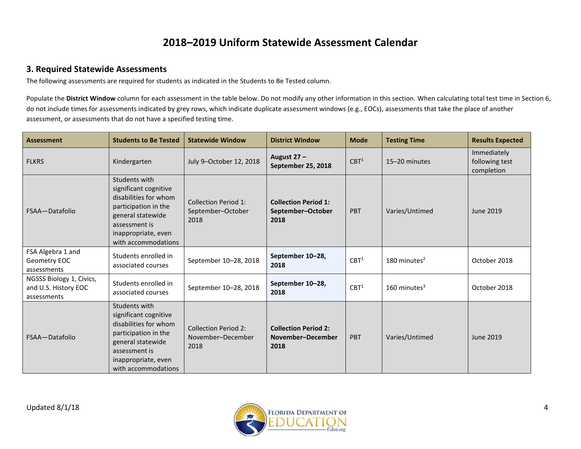#### **3. Required Statewide Assessments**

The following assessments are required for students as indicated in the Students to Be Tested column.

Populate the District Window column for each assessment in the table below. Do not modify any other information in this section. When calculating total test time in Section 6, do not include times for assessments indicated by grey rows, which indicate duplicate assessment windows (e.g., EOCs), assessments that take the place of another assessment, or assessments that do not have a specified testing time.

| <b>Assessment</b>                                               | <b>Students to Be Tested</b>                                                                                                                                                | <b>Statewide Window</b>                                  | <b>District Window</b>                                   | <b>Mode</b>      | <b>Testing Time</b>        | <b>Results Expected</b>                     |
|-----------------------------------------------------------------|-----------------------------------------------------------------------------------------------------------------------------------------------------------------------------|----------------------------------------------------------|----------------------------------------------------------|------------------|----------------------------|---------------------------------------------|
| <b>FLKRS</b>                                                    | Kindergarten                                                                                                                                                                | July 9-October 12, 2018                                  | August 27-<br>September 25, 2018                         | CBT <sup>1</sup> | 15-20 minutes              | Immediately<br>following test<br>completion |
| FSAA-Datafolio                                                  | Students with<br>significant cognitive<br>disabilities for whom<br>participation in the<br>general statewide<br>assessment is<br>inappropriate, even<br>with accommodations | Collection Period 1:<br>September-October<br>2018        | <b>Collection Period 1:</b><br>September-October<br>2018 | <b>PBT</b>       | Varies/Untimed             | June 2019                                   |
| FSA Algebra 1 and<br>Geometry EOC<br>assessments                | Students enrolled in<br>associated courses                                                                                                                                  | September 10-28, 2018                                    | September 10-28,<br>2018                                 | CBT <sup>1</sup> | 180 minutes $2$            | October 2018                                |
| NGSSS Biology 1, Civics,<br>and U.S. History EOC<br>assessments | Students enrolled in<br>associated courses                                                                                                                                  | September 10-28, 2018                                    | September 10-28,<br>2018                                 | CBT <sup>1</sup> | $160$ minutes <sup>3</sup> | October 2018                                |
| FSAA-Datafolio                                                  | Students with<br>significant cognitive<br>disabilities for whom<br>participation in the<br>general statewide<br>assessment is<br>inappropriate, even<br>with accommodations | <b>Collection Period 2:</b><br>November-December<br>2018 | <b>Collection Period 2:</b><br>November-December<br>2018 | <b>PBT</b>       | Varies/Untimed             | <b>June 2019</b>                            |

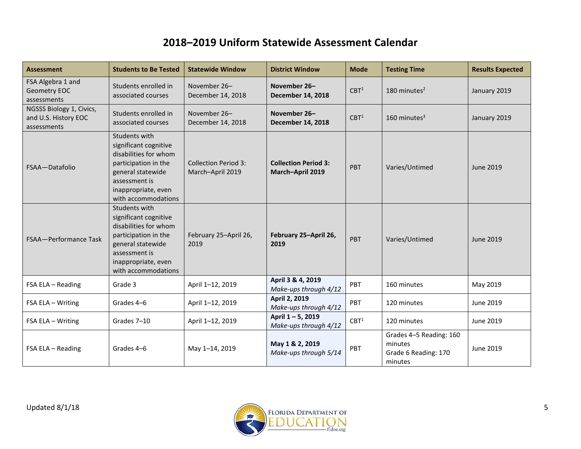| <b>Assessment</b>                                               | <b>Students to Be Tested</b>                                                                                                                                                | <b>Statewide Window</b>                         | <b>District Window</b>                          | <b>Mode</b>      | <b>Testing Time</b>                                                   | <b>Results Expected</b> |
|-----------------------------------------------------------------|-----------------------------------------------------------------------------------------------------------------------------------------------------------------------------|-------------------------------------------------|-------------------------------------------------|------------------|-----------------------------------------------------------------------|-------------------------|
| FSA Algebra 1 and<br>Geometry EOC<br>assessments                | Students enrolled in<br>associated courses                                                                                                                                  | November 26-<br>December 14, 2018               | November 26-<br><b>December 14, 2018</b>        | CBT <sup>1</sup> | 180 minutes $2$                                                       | January 2019            |
| NGSSS Biology 1, Civics,<br>and U.S. History EOC<br>assessments | Students enrolled in<br>associated courses                                                                                                                                  | November 26-<br>December 14, 2018               | November 26-<br><b>December 14, 2018</b>        | CBT <sup>1</sup> | $160$ minutes <sup>3</sup>                                            | January 2019            |
| FSAA-Datafolio                                                  | Students with<br>significant cognitive<br>disabilities for whom<br>participation in the<br>general statewide<br>assessment is<br>inappropriate, even<br>with accommodations | <b>Collection Period 3:</b><br>March-April 2019 | <b>Collection Period 3:</b><br>March-April 2019 | <b>PBT</b>       | Varies/Untimed                                                        | <b>June 2019</b>        |
| <b>FSAA-Performance Task</b>                                    | Students with<br>significant cognitive<br>disabilities for whom<br>participation in the<br>general statewide<br>assessment is<br>inappropriate, even<br>with accommodations | February 25-April 26,<br>2019                   | February 25-April 26,<br>2019                   | <b>PBT</b>       | Varies/Untimed                                                        | June 2019               |
| FSA ELA - Reading                                               | Grade 3                                                                                                                                                                     | April 1-12, 2019                                | April 3 & 4, 2019<br>Make-ups through 4/12      | PBT              | 160 minutes                                                           | May 2019                |
| FSA ELA - Writing                                               | Grades 4-6                                                                                                                                                                  | April 1-12, 2019                                | April 2, 2019<br>Make-ups through 4/12          | PBT              | 120 minutes                                                           | June 2019               |
| FSA ELA - Writing                                               | Grades 7-10                                                                                                                                                                 | April 1-12, 2019                                | April 1-5, 2019<br>Make-ups through 4/12        | CBT <sup>1</sup> | 120 minutes                                                           | June 2019               |
| FSA ELA - Reading                                               | Grades 4-6                                                                                                                                                                  | May 1-14, 2019                                  | May 1 & 2, 2019<br>Make-ups through 5/14        | PBT              | Grades 4-5 Reading: 160<br>minutes<br>Grade 6 Reading: 170<br>minutes | June 2019               |

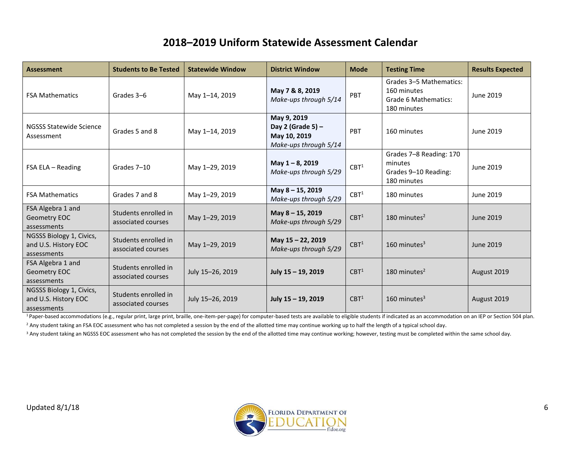| <b>Assessment</b>                                               | <b>Students to Be Tested</b>               | <b>Statewide Window</b> | <b>District Window</b>                                                    | <b>Mode</b>      | <b>Testing Time</b>                                                           | <b>Results Expected</b> |
|-----------------------------------------------------------------|--------------------------------------------|-------------------------|---------------------------------------------------------------------------|------------------|-------------------------------------------------------------------------------|-------------------------|
| <b>FSA Mathematics</b>                                          | Grades 3-6                                 | May 1-14, 2019          | May 7 & 8, 2019<br>Make-ups through 5/14                                  | PBT              | Grades 3-5 Mathematics:<br>160 minutes<br>Grade 6 Mathematics:<br>180 minutes | June 2019               |
| <b>NGSSS Statewide Science</b><br>Assessment                    | Grades 5 and 8                             | May 1-14, 2019          | May 9, 2019<br>Day 2 (Grade 5) -<br>May 10, 2019<br>Make-ups through 5/14 | PBT              | 160 minutes                                                                   | June 2019               |
| FSA ELA - Reading                                               | Grades 7-10                                | May 1-29, 2019          | May 1-8, 2019<br>Make-ups through 5/29                                    | CBT <sup>1</sup> | Grades 7-8 Reading: 170<br>minutes<br>Grades 9-10 Reading:<br>180 minutes     | June 2019               |
| <b>FSA Mathematics</b>                                          | Grades 7 and 8                             | May 1-29, 2019          | May 8-15, 2019<br>Make-ups through 5/29                                   | CBT <sup>1</sup> | 180 minutes                                                                   | June 2019               |
| FSA Algebra 1 and<br>Geometry EOC<br>assessments                | Students enrolled in<br>associated courses | May 1-29, 2019          | May 8-15, 2019<br>Make-ups through 5/29                                   | CBT <sup>1</sup> | 180 minutes $2$                                                               | June 2019               |
| NGSSS Biology 1, Civics,<br>and U.S. History EOC<br>assessments | Students enrolled in<br>associated courses | May 1-29, 2019          | May 15 - 22, 2019<br>Make-ups through 5/29                                | CBT <sup>1</sup> | 160 minutes $3$                                                               | <b>June 2019</b>        |
| FSA Algebra 1 and<br>Geometry EOC<br>assessments                | Students enrolled in<br>associated courses | July 15-26, 2019        | July 15 - 19, 2019                                                        | CBT <sup>1</sup> | 180 minutes $2$                                                               | August 2019             |
| NGSSS Biology 1, Civics,<br>and U.S. History EOC<br>assessments | Students enrolled in<br>associated courses | July 15-26, 2019        | July 15 - 19, 2019                                                        | CBT <sup>1</sup> | 160 minutes $3$                                                               | August 2019             |

<sup>1</sup> Paper-based accommodations (e.g., regular print, large print, braille, one-item-per-page) for computer-based tests are available to eligible students if indicated as an accommodation on an IEP or Section 504 plan. <sup>2</sup> Any student taking an FSA EOC assessment who has not completed a session by the end of the allotted time may continue working up to half the length of a typical school day.

<sup>3</sup> Any student taking an NGSSS EOC assessment who has not completed the session by the end of the allotted time may continue working; however, testing must be completed within the same school day.

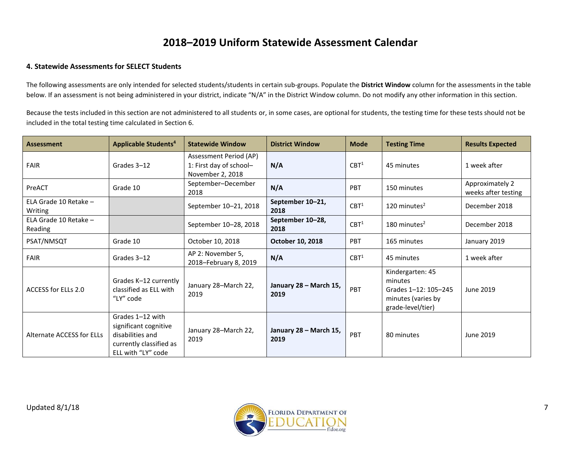#### **4. Statewide Assessments for SELECT Students**

The following assessments are only intended for selected students/students in certain sub-groups. Populate the **District Window** column for the assessments in the table below. If an assessment is not being administered in your district, indicate "N/A" in the District Window column. Do not modify any other information in this section.

Because the tests included in this section are not administered to all students or, in some cases, are optional for students, the testing time for these tests should not be included in the total testing time calculated in Section 6.

| <b>Assessment</b>                | <b>Applicable Students<sup>4</sup></b>                                                                         | <b>Statewide Window</b>                                               | <b>District Window</b>         | <b>Mode</b>      | <b>Testing Time</b>                                                                            | <b>Results Expected</b>                |
|----------------------------------|----------------------------------------------------------------------------------------------------------------|-----------------------------------------------------------------------|--------------------------------|------------------|------------------------------------------------------------------------------------------------|----------------------------------------|
| <b>FAIR</b>                      | Grades 3-12                                                                                                    | Assessment Period (AP)<br>1: First day of school-<br>November 2, 2018 | N/A                            | CBT <sup>1</sup> | 45 minutes                                                                                     | 1 week after                           |
| PreACT                           | Grade 10                                                                                                       | September-December<br>2018                                            | N/A                            | PBT              | 150 minutes                                                                                    | Approximately 2<br>weeks after testing |
| ELA Grade 10 Retake -<br>Writing |                                                                                                                | September 10-21, 2018                                                 | September 10-21,<br>2018       | CBT <sup>1</sup> | 120 minutes $2$                                                                                | December 2018                          |
| ELA Grade 10 Retake -<br>Reading |                                                                                                                | September 10-28, 2018                                                 | September 10-28,<br>2018       | CBT <sup>1</sup> | 180 minutes $2$                                                                                | December 2018                          |
| PSAT/NMSQT                       | Grade 10                                                                                                       | October 10, 2018                                                      | <b>October 10, 2018</b>        | PBT              | 165 minutes                                                                                    | January 2019                           |
| <b>FAIR</b>                      | Grades 3-12                                                                                                    | AP 2: November 5,<br>2018-February 8, 2019                            | N/A                            | CBT <sup>1</sup> | 45 minutes                                                                                     | 1 week after                           |
| ACCESS for ELLs 2.0              | Grades K-12 currently<br>classified as ELL with<br>"LY" code                                                   | January 28-March 22,<br>2019                                          | January 28 - March 15,<br>2019 | PBT              | Kindergarten: 45<br>minutes<br>Grades 1-12: 105-245<br>minutes (varies by<br>grade-level/tier) | June 2019                              |
| Alternate ACCESS for ELLs        | Grades 1-12 with<br>significant cognitive<br>disabilities and<br>currently classified as<br>ELL with "LY" code | January 28-March 22,<br>2019                                          | January 28 - March 15,<br>2019 | PBT              | 80 minutes                                                                                     | June 2019                              |

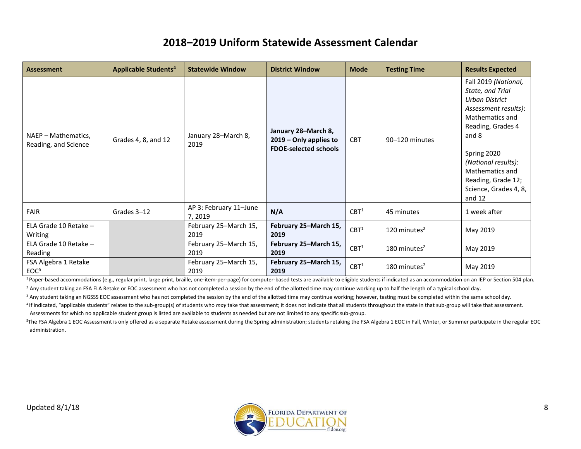| <b>Assessment</b>                           | <b>Applicable Students<sup>4</sup></b> | <b>Statewide Window</b>           | <b>District Window</b>                                                        | <b>Mode</b>      | <b>Testing Time</b> | <b>Results Expected</b>                                                                                                                                                                                                                                 |
|---------------------------------------------|----------------------------------------|-----------------------------------|-------------------------------------------------------------------------------|------------------|---------------------|---------------------------------------------------------------------------------------------------------------------------------------------------------------------------------------------------------------------------------------------------------|
| NAEP - Mathematics,<br>Reading, and Science | Grades 4, 8, and 12                    | January 28-March 8,<br>2019       | January 28-March 8,<br>2019 - Only applies to<br><b>FDOE-selected schools</b> | <b>CBT</b>       | 90-120 minutes      | Fall 2019 (National,<br>State, and Trial<br>Urban District<br>Assessment results):<br>Mathematics and<br>Reading, Grades 4<br>and 8<br>Spring 2020<br>(National results):<br>Mathematics and<br>Reading, Grade 12;<br>Science, Grades 4, 8,<br>and $12$ |
| <b>FAIR</b>                                 | Grades 3-12                            | AP 3: February 11-June<br>7, 2019 | N/A                                                                           | CBT <sup>1</sup> | 45 minutes          | 1 week after                                                                                                                                                                                                                                            |
| ELA Grade 10 Retake -<br>Writing            |                                        | February 25-March 15,<br>2019     | February 25–March 15,<br>2019                                                 | CBT <sup>1</sup> | 120 minutes $2$     | May 2019                                                                                                                                                                                                                                                |
| ELA Grade 10 Retake -<br>Reading            |                                        | February 25-March 15,<br>2019     | February 25-March 15,<br>2019                                                 | CBT <sup>1</sup> | 180 minutes $2$     | May 2019                                                                                                                                                                                                                                                |
| FSA Algebra 1 Retake<br>EOC <sup>5</sup>    |                                        | February 25-March 15,<br>2019     | February 25–March 15,<br>2019                                                 | CBT <sup>1</sup> | 180 minutes $2$     | May 2019                                                                                                                                                                                                                                                |

<sup>1</sup>Paper-based accommodations (e.g., regular print, large print, braille, one-item-per-page) for computer-based tests are available to eligible students if indicated as an accommodation on an IEP or Section 504 plan.

<sup>2</sup> Any student taking an FSA ELA Retake or EOC assessment who has not completed a session by the end of the allotted time may continue working up to half the length of a typical school day.

<sup>3</sup> Any student taking an NGSSS EOC assessment who has not completed the session by the end of the allotted time may continue working; however, testing must be completed within the same school day.

<sup>4</sup>If indicated, "applicable students" relates to the sub-group(s) of students who *may* take that assessment; it does not indicate that all students throughout the state in that sub-group will take that assessment. Assessments for which no applicable student group is listed are available to students as needed but are not limited to any specific sub-group.

<sup>5</sup>The FSA Algebra 1 EOC Assessment is only offered as a separate Retake assessment during the Spring administration; students retaking the FSA Algebra 1 EOC in Fall, Winter, or Summer participate in the regular EOC administration.

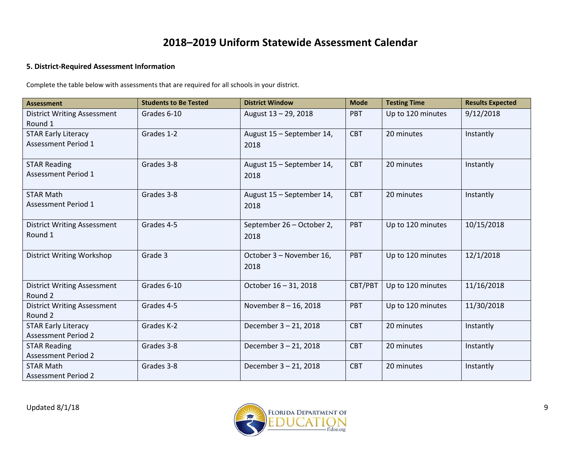#### **5. District-Required Assessment Information**

Complete the table below with assessments that are required for all schools in your district.

| <b>Assessment</b>                                        | <b>Students to Be Tested</b> | <b>District Window</b>            | <b>Mode</b> | <b>Testing Time</b> | <b>Results Expected</b> |
|----------------------------------------------------------|------------------------------|-----------------------------------|-------------|---------------------|-------------------------|
| <b>District Writing Assessment</b><br>Round 1            | Grades 6-10                  | August 13 - 29, 2018              | PBT         | Up to 120 minutes   | 9/12/2018               |
| <b>STAR Early Literacy</b><br><b>Assessment Period 1</b> | Grades 1-2                   | August 15 - September 14,<br>2018 | <b>CBT</b>  | 20 minutes          | Instantly               |
| <b>STAR Reading</b><br>Assessment Period 1               | Grades 3-8                   | August 15 - September 14,<br>2018 | <b>CBT</b>  | 20 minutes          | Instantly               |
| <b>STAR Math</b><br><b>Assessment Period 1</b>           | Grades 3-8                   | August 15 - September 14,<br>2018 | <b>CBT</b>  | 20 minutes          | Instantly               |
| <b>District Writing Assessment</b><br>Round 1            | Grades 4-5                   | September 26 - October 2,<br>2018 | PBT         | Up to 120 minutes   | 10/15/2018              |
| <b>District Writing Workshop</b>                         | Grade 3                      | October 3 - November 16,<br>2018  | PBT         | Up to 120 minutes   | 12/1/2018               |
| <b>District Writing Assessment</b><br>Round 2            | Grades 6-10                  | October 16 - 31, 2018             | CBT/PBT     | Up to 120 minutes   | 11/16/2018              |
| <b>District Writing Assessment</b><br>Round 2            | Grades 4-5                   | November 8-16, 2018               | <b>PBT</b>  | Up to 120 minutes   | 11/30/2018              |
| <b>STAR Early Literacy</b><br><b>Assessment Period 2</b> | Grades K-2                   | December 3-21, 2018               | <b>CBT</b>  | 20 minutes          | Instantly               |
| <b>STAR Reading</b><br><b>Assessment Period 2</b>        | Grades 3-8                   | December 3-21, 2018               | <b>CBT</b>  | 20 minutes          | Instantly               |
| <b>STAR Math</b><br><b>Assessment Period 2</b>           | Grades 3-8                   | December 3-21, 2018               | <b>CBT</b>  | 20 minutes          | Instantly               |